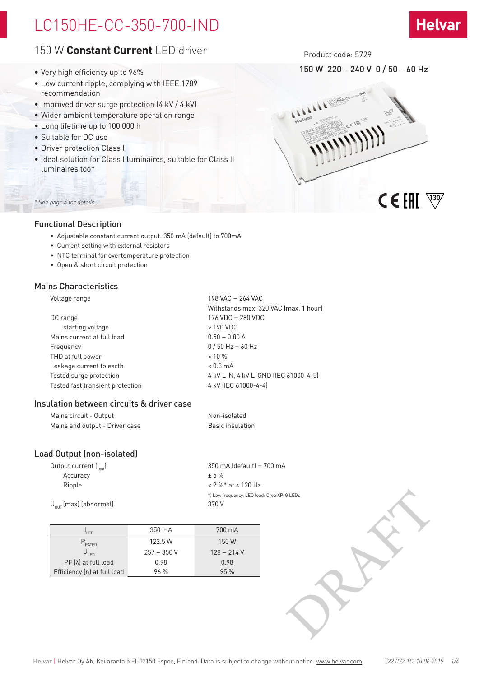## LC150HE-CC-350-700-IND

## 150 W **Constant Current** LED driver

- Very high efficiency up to 96%
- Low current ripple, complying with IEEE 1789 recommendation
- Improved driver surge protection (4 kV / 4 kV)
- Wider ambient temperature operation range
- Long lifetime up to 100 000 h
- Suitable for DC use
- Driver protection Class I
- Ideal solution for Class I luminaires, suitable for Class II luminaires too\*

## *\* See page 4 for details.*

## Functional Description

- Adjustable constant current output: 350 mA (default) to 700mA
- Current setting with external resistors
- NTC terminal for overtemperature protection
- Open & short circuit protection

## Mains Characteristics

Voltage range 198 VAC – 264 VAC Withstands max. 320 VAC (max. 1 hour) DC range 176 VDC – 280 VDC starting voltage  $\rightarrow$  190 VDC Mains current at full load 0.50 – 0.80 A Frequency 0 / 50 Hz – 60 Hz THD at full power  $\sim$  10 % Leakage current to earth  $\leq 0.3$  mA Tested surge protection  $4 kV L-N$ ,  $4 kV L-SND$  (IEC 61000-4-5) Tested fast transient protection 4 kV (IEC 61000-4-4)

## Insulation between circuits & driver case

| Mains circuit - Output         | Non-isolated     |
|--------------------------------|------------------|
| Mains and output - Driver case | Basic insulation |

## Load Output (non-isolated)

| Output current (I <sub>out</sub> )<br>Accuracy<br>Ripple<br>$U_{\text{out}}$ (max) (abnormal) |              | 350 mA (default) - 700 mA<br>± 5%<br>$< 2 \%$ * at $\le 120$ Hz<br>*) Low frequency, LED load: Cree XP-G LEDs<br>370 V |  |
|-----------------------------------------------------------------------------------------------|--------------|------------------------------------------------------------------------------------------------------------------------|--|
| $I_{LED}$                                                                                     | 350 mA       | 700 mA                                                                                                                 |  |
| $P_{\text{RATED}}$                                                                            | 122.5W       | 150W                                                                                                                   |  |
| $\mathsf{U}_{\mathsf{LED}}$                                                                   | $257 - 350V$ | $128 - 214V$                                                                                                           |  |
| PF (λ) at full load                                                                           | 0.98         | 0.98                                                                                                                   |  |
| Efficiency (n) at full load                                                                   | 96 %         | 95 %                                                                                                                   |  |
|                                                                                               |              |                                                                                                                        |  |

| 'I FD                       | 350 mA       | 700 mA       |
|-----------------------------|--------------|--------------|
| $P_{\text{RATFD}}$          | 122.5 W      | 150 W        |
| $\bigcup_{i\in D}$          | $257 - 350V$ | $128 - 214V$ |
| $PF(\lambda)$ at full load  | 0.98         | 0.98         |
| Efficiency (n) at full load | 96%          | 95%          |

Product code: 5729

## 150 W 220 – 240 V 0 / 50 – 60 Hz

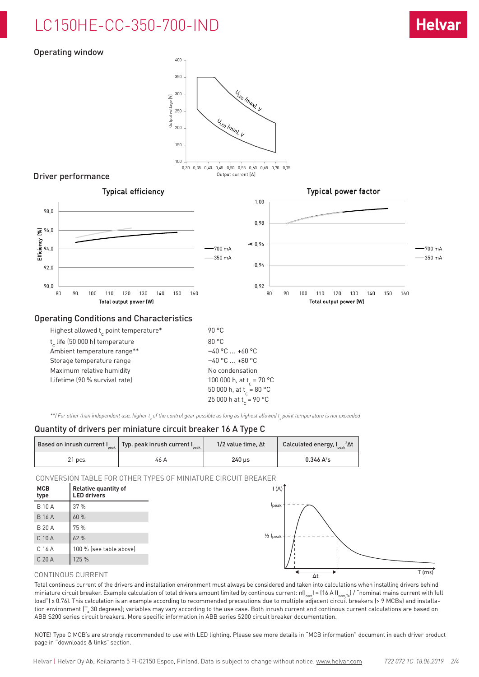## LC150HE-CC-350-700-IND

## Operating window

90,0

92,0

94,0

98,0

96,0

Efficiency (%)

Efficiency



### Operating Conditions and Characteristics

| Highest allowed t point temperature* | 90 °C                                |
|--------------------------------------|--------------------------------------|
| t, life (50 000 h) temperature       | 80 °C                                |
| Ambient temperature range**          | $-40$ °C $$ +60 °C                   |
| Storage temperature range            | $-40$ °C $$ +80 °C                   |
| Maximum relative humidity            | No condensation                      |
| Lifetime (90 % survival rate)        | 100 000 h, at t <sub>r</sub> = 70 °C |
|                                      | 50 000 h, at t = 80 °C               |
|                                      | 25 000 h at $t_c = 90 °C$            |

\*\*) For other than independent use, higher t<sub>a</sub> of the control gear possible as long as highest allowed t<sub>e</sub> point temperature is not exceeded

## Quantity of drivers per miniature circuit breaker 16 A Type C

|           | $\mid$ Based on inrush current I $_{\tiny{\sf peak}}\mid$ Typ. peak inrush current I $_{\tiny{\sf peak}}$ | $1/2$ value time. $\Delta t$ | Calculated energy, $I_{\text{peak}}^2 \Delta t$ |  |
|-----------|-----------------------------------------------------------------------------------------------------------|------------------------------|-------------------------------------------------|--|
| $21$ pcs. | 46 A                                                                                                      | $240$ us                     | $0.346 A^2s$                                    |  |

CONVERSION TABLE FOR OTHER TYPES OF MINIATURE CIRCUIT BREAKER

| <b>MCB</b><br>type | <b>Relative quantity of</b><br><b>LED</b> drivers |
|--------------------|---------------------------------------------------|
| <b>B</b> 10 A      | 37%                                               |
| <b>B</b> 16 A      | 60 %                                              |
| <b>B 20 A</b>      | 75 %                                              |
| C 10 A             | 62%                                               |
| C 16 A             | 100 % (see table above)                           |
| C 20 A             | 125 %                                             |
|                    | CONTINOUS CURRENT                                 |

### CONTINOUS CURRENT

Total continous current of the drivers and installation environment must always be considered and taken into calculations when installing drivers behind miniature circuit breaker. Example calculation of total drivers amount limited by continous current:  $n(I_{\text{conf}}) = (16 \text{ A } (I_{\text{norm,Ta}}) / \text{``nominal mains current with full"})$ load") x 0.76). This calculation is an example according to recommended precautions due to multiple adjacent circuit breakers (> 9 MCBs) and installation environment (T $_{\rm a}$  30 degrees); variables may vary according to the use case. Both inrush current and continous current calculations are based on ABB S200 series circuit breakers. More specific information in ABB series S200 circuit breaker documentation.

NOTE! Type C MCB's are strongly recommended to use with LED lighting. Please see more details in "MCB information" document in each driver product page in "downloads & links" section.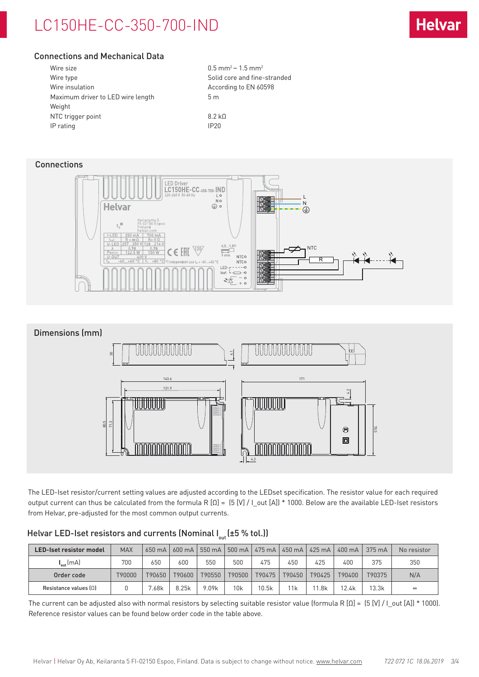## LC150HE-CC-350-700-IND

## Connections and Mechanical Data

| Wire size                         | $0.5$ mr         |
|-----------------------------------|------------------|
| Wire type                         | Solid o          |
| Wire insulation                   | Accor            |
| Maximum driver to LED wire length | 5m               |
| Weight                            |                  |
| NTC trigger point                 | 8.2 kO           |
| IP rating                         | IP <sub>20</sub> |
|                                   |                  |

 $0.5$  mm<sup>2</sup> – 1.5 mm<sup>2</sup> Solid core and fine-stranded According to EN 60598

**Connections** 





The LED-Iset resistor/current setting values are adjusted according to the LEDset specification. The resistor value for each required output current can thus be calculated from the formula R [Ω] = (5 [V] / I\_out [A]) \* 1000. Below are the available LED-Iset resistors from Helvar, pre-adjusted for the most common output currents.

| Helvar LED-Iset resistors and currents (Nominal $I_{out}$ (±5 % tol.)) |  |
|------------------------------------------------------------------------|--|
|------------------------------------------------------------------------|--|

| <b>LED-Iset resistor model</b> | <b>MAX</b> | 650 mA | $600 \text{ mA}$ | 550 mA | 500 mA | 475 mA | 450 mA | $\frac{1425 \text{ mA}}{}$ | 400 mA | $375 \text{ mA}$ | No resistor |
|--------------------------------|------------|--------|------------------|--------|--------|--------|--------|----------------------------|--------|------------------|-------------|
| $I_{\text{out}}$ (mA)          | 700        | 650    | 600              | 550    | 500    | 475    | 450    | 425                        | 400    | 375              | 350         |
| Order code                     | T90000     | T90650 | T90600           | T90550 | T90500 | T90475 | T90450 | T90425                     | T90400 | T90375           | N/A         |
| Resistance values $[0]$        |            | 7.68k  | 8.25k            | 9.09k  | 10k    | 10.5k  | 11k    | .8k                        | 12.4k  | 13.3k            | $\infty$    |

The current can be adjusted also with normal resistors by selecting suitable resistor value (formula R  $[0] = [5 [V] / [0.01]$  \* 1000). Reference resistor values can be found below order code in the table above.